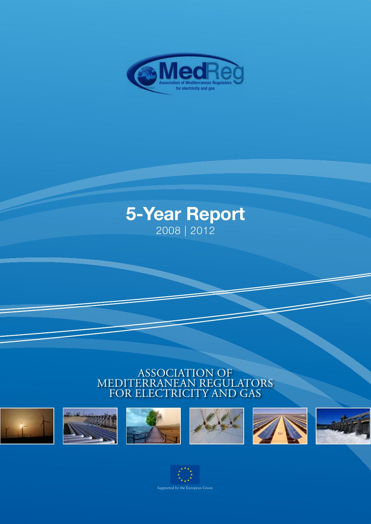

# **5-Year Report** 2008 | 2012

# Association of Mediterranean Regulators for electricity and gas



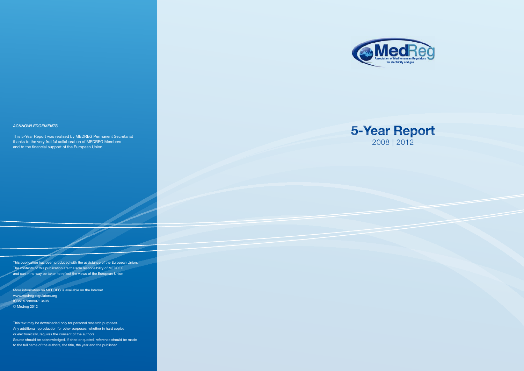



This publication has been produced with the assistance of the European Union. The contents of this publication are the sole responsibility of MEDREG and can in no way be taken to reflect the views of the European Union

More information on MEDREG is available on the Internet www.medreg-regulators.org ISBN: 9788890713408 © Medreg 2012

This text may be downloaded only for personal research purposes. Any additional reproduction for other purposes, whether in hard copies or electronically, requires the consent of the authors. Source should be acknowledged. If cited or quoted, reference should be made to the full name of the authors, the title, the year and the publisher.

### *Acknowledgements*

This 5-Year Report was realised by MEDREG Permanent Secretariat thanks to the very fruitful collaboration of MEDREG Members and to the financial support of the European Union.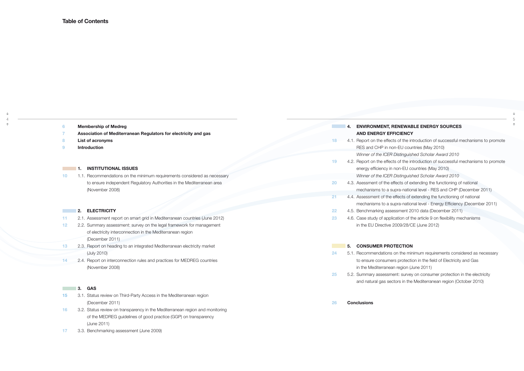**17** 3.3. Benchmarking assessment (June 2009)

| 6  | <b>Membership of Medreg</b>                                                   |           |    | 4. ENVIRONMENT, RENE            |
|----|-------------------------------------------------------------------------------|-----------|----|---------------------------------|
|    | Association of Mediterranean Regulators for electricity and gas               |           |    | <b>AND ENERGY EFFICIE</b>       |
| 8  | List of acronyms                                                              | 18        |    | 4.1. Report on the effects of t |
| 9  | <b>Introduction</b>                                                           |           |    | RES and CHP in non-EU           |
|    |                                                                               |           |    | Winner of the ICER Distin       |
|    |                                                                               | 19        |    | 4.2. Report on the effects of t |
|    | <b>INSTITUTIONAL ISSUES</b><br>1.                                             |           |    | energy efficiency in non-I      |
| 10 | 1.1. Recommendations on the minimum requirements considered as necessary      |           |    | Winner of the ICER Distin       |
|    | to ensure independent Regulatory Authorities in the Mediterranean area        | <b>20</b> |    | 4.3. Asessment of the effects   |
|    | (November 2008)                                                               |           |    | mechanisms to a supra-r         |
|    |                                                                               | 21        |    | 4.4. Assessment of the effect   |
|    |                                                                               |           |    | mechanisms to a supra-r         |
|    | <b>ELECTRICITY</b><br>2.                                                      | 22        |    | 4.5. Benchmarking assessme      |
| 11 | 2.1. Assessment report on smart grid in Mediterranean countries (June 2012)   | 23        |    | 4.6. Case study of application  |
| 12 | 2.2. Summary assessment: survey on the legal framework for management         |           |    | in the EU Directive 2009/       |
|    | of electricity interconnection in the Mediterranean region                    |           |    |                                 |
|    | (December 2011)                                                               |           |    |                                 |
| 13 | 2.3. Report on heading to an integrated Mediterranean electricity market      |           | 5. | <b>CONSUMER PROTECT</b>         |
|    | (July 2010)                                                                   | 24        |    | 5.1. Recommendations on th      |
| 14 | 2.4. Report on interconnection rules and practices for MEDREG countries       |           |    | to ensure consumers pro         |
|    | (November 2008)                                                               |           |    | in the Mediterranean regi       |
|    |                                                                               | 25        |    | 5.2. Summary assessment: s      |
|    |                                                                               |           |    | and natural gas sectors in      |
|    | <b>GAS</b><br>3.                                                              |           |    |                                 |
| 15 | 3.1. Status review on Third-Party Access in the Mediterranean region          |           |    |                                 |
|    | (December 2011)                                                               | 26        |    | <b>Conclusions</b>              |
| 16 | 3.2. Status review on transparency in the Mediterranean region and monitoring |           |    |                                 |
|    | of the MEDREG guidelines of good practice (GGP) on transparency               |           |    |                                 |
|    | (June 2011)                                                                   |           |    |                                 |

# **EWABLE ENERGY SOURCES ENCY**

the introduction of successful mechanisms to promote Gountries (May 2010) *Winner of the ICER Distinguished Scholar Award 2010* the introduction of successful mechanisms to promote EU countries (May 2010) *Winner of the ICER Distinguished Scholar Award 2010* 2016 4.3. As of extending the functioning of national national level - RES and CHP (December 2011) **21** 4.4 **2.4. As is of extending the functioning of national** national level - Energy Efficiency (December 2011) **2010 data (December 2011) 233** 4.6. Article 9 on flexibility mechanisms 28/CE (June 2012)

# **FION**

**24** 24 5.12. Pequirements considered as necessary tection in the field of Electricity and Gas

ion (June 2011)

**2** survey on consumer protection in the electricity

in the Mediterranean region (October 2010)

↑ 4

 $\ddag$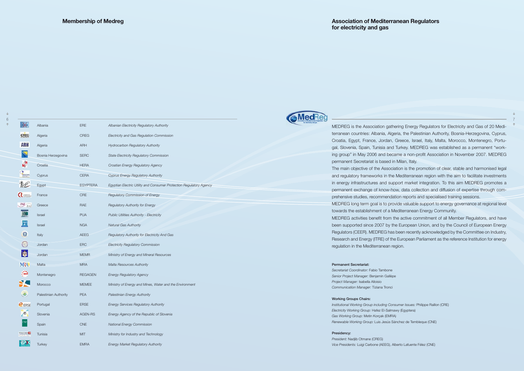

MEDREG is the Association gathering Energy Regulators for Electricity and Gas of 20 Mediterranean countries: Albania, Algeria, the Palestinian Authority, Bosnia-Herzegovina, Cyprus, Croatia, Egypt, France, Jordan, Greece, Israel, Italy, Malta, Morocco, Montenegro, Portugal, Slovenia, Spain, Tunisia and Turkey. MEDREG was established as a permanent "working group" in May 2006 and became a non-profit Association in November 2007. MEDREG

The main objective of the Association is the promotion of clear, stable and harmonised legal and regulatory frameworks in the Mediterranean region with the aim to facilitate investments in energy infrastructures and support market integration. To this aim MEDREG promotes a permanent exchange of know-how, data collection and diffusion of expertise through comprehensive studies, recommendation reports and specialised training sessions.

permanent Secretariat is based in Milan, Italy. towards the establishment of a Mediterranean Energy Community. regulation in the Mediterranean region.

MEDREG long term goal is to provide valuable support to energy governance at regional level

7  $\ddotmark$ 

 $\uparrow$ 

MEDREG activities benefit from the active commitment of all Member Regulators, and have been supported since 2007 by the European Union, and by the Council of European Energy Regulators (CEER). MEDREG has been recently acknowledged by the Committee on Industry, Research and Energy (ITRE) of the European Parliament as the reference Institution for energy

### Permanent Secretariat:

*Secretariat Coordinator:* Fabio Tambone *Senior Project Manager:* Benjamin Gallèpe *Project Manager:* Isabella Alloisio *Communication Manager:* Tiziana Tronci

### Working Groups Chairs:

*Institutional Working Group including Consumer Issues:* Philippe Raillon (CRE) *Electricity Working Group:* Hafez El-Salmawy (Egyptera) *Gas Working Group:* Metin Korçak (EMRA) *Renewable Working Group:* Luis Jesús Sánchez de Tembleque (CNE)

### Presidency:

*President:* Nadjib Otmane (CREG) *Vice Presidents:* Luigi Carbone (AEEG), Alberto Lafuente Félez (CNE)

|                | Albania               | <b>ERE</b>      | Albanian Electricity Regulatory Authority                           |
|----------------|-----------------------|-----------------|---------------------------------------------------------------------|
| CREG           | Algeria               | <b>CREG</b>     | Electricity and Gas Regulation Commission                           |
| ARH            | Algeria               | <b>ARH</b>      | Hydrocarbon Regulatory Authority                                    |
|                | Bosnia Herzegovina    | <b>SERC</b>     | <b>State Electricity Regulatory Commission</b>                      |
|                | Croatia               | <b>HERA</b>     | Croatian Energy Regulatory Agency                                   |
| L              | Cyprus                | <b>CERA</b>     | Cyprus Energy Regulatory Authority                                  |
| 醠              | Egypt                 | <b>EGYPTERA</b> | Egyptian Electric Utility and Consumer Protection Regulatory Agency |
| $\sim$         | France                | <b>CRE</b>      | Regulatory Commission of Energy                                     |
| <b>PAE</b> RAE | Greece                | <b>RAE</b>      | Regulatory Authority for Energy                                     |
|                | <b>Israel</b>         | <b>PUA</b>      | Public Utilities Authority - Electricity                            |
|                | <b>Israel</b>         | <b>NGA</b>      | <b>Natural Gas Authority</b>                                        |
| $\Omega$       | Italy                 | <b>AEEG</b>     | Regulatory Authority for Electricity And Gas                        |
|                | Jordan                | <b>ERC</b>      | <b>Electricity Regulatory Commission</b>                            |
| Ø              | Jordan                | <b>MEMR</b>     | Ministry of Energy and Mineral Resources                            |
| <b>MRA</b>     | Malta                 | <b>MRA</b>      | <b>Malta Resources Authority</b>                                    |
|                | Montenegro            | <b>REGAGEN</b>  | <b>Energy Regulatory Agency</b>                                     |
| ⊁              | Morocco               | <b>MEMEE</b>    | Ministry of Energy and Mines, Water and the Environment             |
| $\mathbf{G}$   | Palestinian Authority | <b>PEA</b>      | Palestinian Energy Authority                                        |
| <b>PERSE</b>   | Portugal              | <b>ERSE</b>     | <b>Energy Services Regulatory Authority</b>                         |
| e              | Slovenia              | AGEN-RS         | Energy Agency of the Republic of Slovenia                           |
|                | Spain                 | <b>CNE</b>      | <b>National Energy Commission</b>                                   |
|                | Tunisia               | <b>MIT</b>      | Ministry for Industry and Technology                                |
|                | <b>Turkey</b>         | <b>EMRA</b>     | <b>Energy Market Regulatory Authority</b>                           |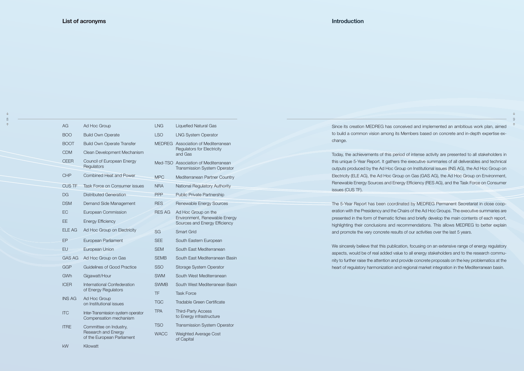$\hat{\tau}$ 8

| AG              | Ad Hoc Group                                                 | <b>LNG</b>    | <b>Liquefied Natural Gas</b>                                                          | Since its creation MEDREG ha                                      |
|-----------------|--------------------------------------------------------------|---------------|---------------------------------------------------------------------------------------|-------------------------------------------------------------------|
| <b>BOO</b>      | <b>Build Own Operate</b>                                     | <b>LSO</b>    | <b>LNG System Operator</b>                                                            | to build a common vision amo                                      |
| <b>BOOT</b>     | <b>Build Own Operate Transfer</b>                            |               | MEDREG Association of Mediterranean                                                   | change.                                                           |
| <b>CDM</b>      | Clean Development Mechanism                                  |               | <b>Regulators for Electricity</b><br>and Gas                                          | Today, the achievements of th                                     |
| <b>CEER</b>     | Council of European Energy<br>Regulators                     |               | Med-TSO Association of Mediterranean<br>Transmission System Operator                  | this unique 5-Year Report. It ga<br>outputs produced by the Ad H  |
| <b>CHP</b>      | Combined Heat and Power                                      | <b>MPC</b>    | Mediterranean Partner Country                                                         | Electricity (ELE AG), the Ad Ho                                   |
| <b>CUS TF</b>   | Task Force on Consumer issues                                | <b>NRA</b>    | National Regulatory Authority                                                         | Renewable Energy Sources an<br>issues (CUS TF).                   |
| <b>DG</b>       | <b>Distributed Generation</b>                                | <b>PPP</b>    | Public Private Partnership                                                            |                                                                   |
| <b>DSM</b>      | Demand Side Management                                       | <b>RES</b>    | Renewable Energy Sources                                                              | The 5-Year Report has been o                                      |
| EC<br><b>EE</b> | European Commission<br><b>Energy Efficiency</b>              | <b>RES AG</b> | Ad Hoc Group on the<br>Environment, Renewable Energy<br>Sources and Energy Efficiency | eration with the Presidency and<br>presented in the form of thema |
| <b>ELE AG</b>   | Ad Hoc Group on Electricity                                  |               |                                                                                       | highlighting their conclusions a                                  |
|                 |                                                              | <b>SG</b>     | <b>Smart Grid</b>                                                                     | and promote the very concrete                                     |
| EP              | European Parliament                                          | <b>SEE</b>    | South Eastern European                                                                | We sincerely believe that this p                                  |
| EU              | European Union                                               | <b>SEM</b>    | South East Mediterranean                                                              | aspects, would be of real adde                                    |
| <b>GAS AG</b>   | Ad Hoc Group on Gas                                          | <b>SEMB</b>   | South East Mediterranean Basin                                                        | nity to further raise the attention                               |
| GGP             | <b>Guidelines of Good Practice</b>                           | <b>SSO</b>    | Storage System Operator                                                               | heart of regulatory harmonizati                                   |
| GWh             | Gigawatt/Hour                                                | <b>SWM</b>    | South West Mediterranean                                                              |                                                                   |
| <b>ICER</b>     | International Confederation                                  | <b>SWMB</b>   | South West Mediterranean Basin                                                        |                                                                   |
|                 | of Energy Regulators                                         | TF            | <b>Task Force</b>                                                                     |                                                                   |
| <b>INS AG</b>   | Ad Hoc Group<br>on Institutional issues                      | <b>TGC</b>    | Tradable Green Certificate                                                            |                                                                   |
| <b>ITC</b>      | Inter-Transmission system operator<br>Compensation mechanism | <b>TPA</b>    | <b>Third-Party Access</b><br>to Energy infrastructure                                 |                                                                   |
| <b>ITRE</b>     | Committee on Industry,                                       | <b>TSO</b>    | <b>Transmission System Operator</b>                                                   |                                                                   |
|                 | Research and Energy<br>of the European Parliament            | <b>WACC</b>   | Weighted Average Cost<br>of Canital                                                   |                                                                   |

kW Kilowatt

 $\ddotmark$ 

of Capital

as conceived and implemented an ambitious work plan, aimed ong its Members based on concrete and in-depth expertise ex-

is period of intense activity are presented to all stakeholders in athers the executive summaries of all deliverables and technical loc Group on Institutional issues (INS AG), the Ad Hoc Group on the Group on Gas (GAS AG), the Ad Hoc Group on Environment, rd Energy Efficiency (RES AG), and the Task Force on Consumer

coordinated by MEDREG Permanent Secretariat in close coopd the Chairs of the Ad Hoc Groups. The executive summaries are atic fiches and briefly develop the main contents of each report, and recommendations. This allows MEDREG to better explain e results of our activities over the last 5 years.

publication, focusing on an extensive range of energy regulatory ed value to all energy stakeholders and to the research commun and provide concrete proposals on the key problematics at the ion and regional market integration in the Mediterranean basin.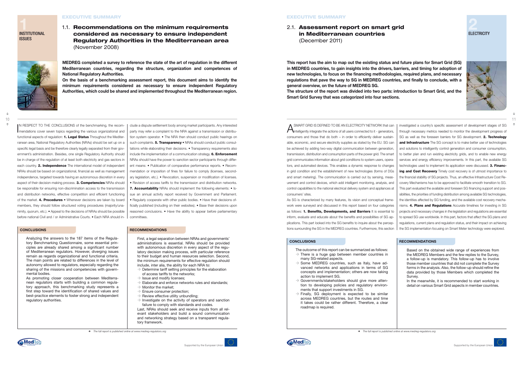IN RESPECT TO THE CONCLUSIONS of the benchmarking, the recom-<br>mendations cover seven topics regarding the various organizational and mendations cover seven topics regarding the various organizational and functional aspects of regulation: 1. Legal Status Throughout the Mediterranean area, National Regulatory Authorities (NRAs) should be set up on a specific legal basis and be therefore clearly legally separated from their government's administration. Besides, one single Regulatory Authority should be in charge of the regulation of at least both electricity and gas sectors in each country. 2. Independence The international model of independent NRAs should be based on organizational, financial as well as management independence, targeted towards having an autonomous discretion in every aspect of their decision-making process. **3. Competencies** NRAs should be responsible for ensuring non-discrimination access to the transmission and distribution networks, effective competition and efficient functioning of the market. 4. Procedures • Whenever decisions are taken by board members, they should follow structured voting procedures (majority/unanimity, quorum, etc.). • Appeal to the decisions of NRAs should be possible before national Civil and / or Administrative Courts. • Each NRA should in-

clude a dispute settlement body among market participants. Any interested party may refer a complaint to the NRA against a transmission or distribution system operator. • The NRA then should conduct public hearings on such complaints. **5. Transparency** • NRAs should conduct public consultations while elaborating their decisions. • Transparency requirements also include the implementation of a communication strategy. 6. Enforcement NRAs should have the power to sanction sector participants through different means: • Publication of comparative performance reports. • Recommendation or imposition of fines for failure to comply (licenses, secondary legislation, etc.). • Revocation, suspension or modification of licenses. • Revision of access tariffs to the transmission and distribution networks. 7. Accountability NRAs should implement the following elements: • Issue an annual activity report received by Government and Parliament. • Regularly cooperate with other public bodies. • Have their decisions officially published (including on their websites). • Base their decisions upon reasoned conclusions. • Have the ability to appear before parliamentary committees.

- $\rightarrow$  Determine tariff setting principles for the elaboration of access tariffs to the networks;
- $\rightarrow$  Issue and modify licenses:
- $\rightarrow$  Elaborate and enforce networks rules and standards;
- $\rightarrow$  Monitor the market:
- Ensure consumer protection;
- Review effective utility unbundling;
- $\rightarrow$  Investigate on the activity of operators and sanction failure to comply with standards and codes.

Analyzing the answers to the 187 items of the Regulatory Benchmarking Questionnaire, some essential principles are already shared among a significant number of Mediterranean regulators. However, diverging issues remain as regards organizational and functional criteria. The main points are related to differences in the level of autonomy allowed to regulators, especially regarding the sharing of the missions and competencies with governmental bodies.

As promoting closer cooperation between Mediterranean regulators starts with building a common regulatory approach, this benchmarking study represents a first step toward the identification of shared values and best-practice elements to foster strong and independent regulatory authorities.

### **CONCLUSIONS RECOMMENDATIONS**

First, a legal separation between NRAs and governments' administrations is essential. NRAs should be provided with autonomous discretion in every aspect of the regulatory decision making process, with particular reference to their budget and human resources selection. Second, the minimum requirements for effective regulation should include, inter alia, the ability for each NRA to:

**A** SMART GRID IS DEFINED TO BE AN ELECTRICITY NETWORK that can intelligently integrate the actions of all users connected to it - generators, able, economic, and secure electricity supplies as stated by the EU. SG can be achieved by adding two-way digital communication between generation, transmission, distribution and consumption parts of the power grid. The smart tors, and automated devices. This enables a dynamic response to changes in grid condition and the establishment of new technologies (forms of DGs urement and control devices, which add intelligent monitoring, analysis, and control capabilities to the national electrical delivery system and appliances at As SG is characterized by many features, its vision and conceptual framework were surveyed and discussed in this report based on four categories as follows: 1. Benefits, Developments, and Barriers It is essential to inform, evaluate and educate about the benefits and possibilities of SG applications. This part looked into the SG benefits to inquire about the perceptions surrounding the SG in the MEDREG countries. Furthermore, this section investigated a country's specific assessment of development stages of SG through necessary metrics needed to monitor the development progress of SG as well as the foreseen barriers for SG development. 2. Technology and Infrastructure The SG concept is to make better use of technologies and solutions to intelligently control generation and consumer consumption, to better plan and run existing electricity grids, and to enable new energy services and energy efficiency improvements. In this part, the available SG technologies used to implement its application were discussed. 3. Financing and Cost Recovery Timely cost recovery is of utmost importance to the financial stability of SG projects. Thus, an effective Infrastructure Cost Recovery Mechanisms has to be approved to facilitate smooth transition to SG. This part evaluated the available and foreseen SG financing support and possibilities, the priorities of funding distribution among available SG technologies, the identities affected by SG funding, and the available cost recovery mechanisms. 4. Plans and Regulations Accurate timelines for investing in SG projects and necessary changes in the legislation and regulations are essential to spread SG use worldwide. In this part, factors that affect the SG plans and regulations, current plans and regulation status, and their impact on achieving the SG implementation focusing on Smart Meter technology were explored.

- $\rightarrow$  Some MEDREG countries, such as Italy, have advanced networks and applications in terms of SG concepts and implementation; others are now taking action to implement SG.
- $\rightarrow$  Governments/stakeholders should give more attention to developing policies and regulatory environments that support investments in SG.
- $\rightarrow$  Finally, SG deployment is expected to be similar across MEDREG countries, but the routes and time it takes could be rather different. Therefore, a clear roadmap is required.

### **EXECUTIVE SUMMARY**

**1** INSTITUTIONAL **ISSUES** 

 $\hat{\tau}$ 

### **CONCLUSIONS RECOMMENDATIONS**

Last, NRAs should seek and receive inputs from all relevant stakeholders and build a sound communication and networking strategy based on a transparent regulatory framework.

consumers and those that do both – in order to efficiently deliver sustaingrid communicates information about grid conditions to system users, operaand smart metering). The communication is carried out by sensing, measconsumers' sites.

The outcome of this report can be summarized as follows:  $\rightarrow$  There is a huge gap between member countries in many SG-related aspects.

Based on the obtained wide range of experiences from the MEDREG Members and the few replies to the Survey, a follow-up is mandatory. This follow-up has to involve those member countries that did not complete the Survey forms in the analysis. Also, the follow-up should refine the data provided by those Members which completed the Survey.

In the meanwhile, it is recommended to start working in detail on various Smart Grid aspects in member countries.



# **2** ELECTRICITY





**Supported by the European Unio** 



¢ *The full report is published online at www.medreg-regulators.org*

### **EXECUTIVE SUMMARY**

1.1. Recommendations on the minimum requirements considered as necessary to ensure independent Regulatory Authorities in the Mediterranean area (November 2008)

**MEDREG completed a survey to reference the state of the art of regulation in the different Mediterranean countries, regarding the structure, organization and competences of National Regulatory Authorities.**

**On the basis of a benchmarking assessment report, this document aims to identify the minimum requirements considered as necessary to ensure independent Regulatory Authorities, which could be shared and implemented throughout the Mediterranean region.**

2.1. Assessment report on smart grid in Mediterranean countries (December 2011)

**This report has the aim to map out the existing status and future plans for Smart Grid (SG) in MEDREG countries, to gain insights into the drivers, barriers, and timing for adoption of new technologies, to focus on the financing methodologies, required plans, and necessary regulations that pave the way to SG in MEDREG countries, and finally to conclude, with a general overview, on the future of MEDREG SG. The structure of the report was divided into two parts: introduction to Smart Grid, and the Smart Grid Survey that was categorized into four sections.**

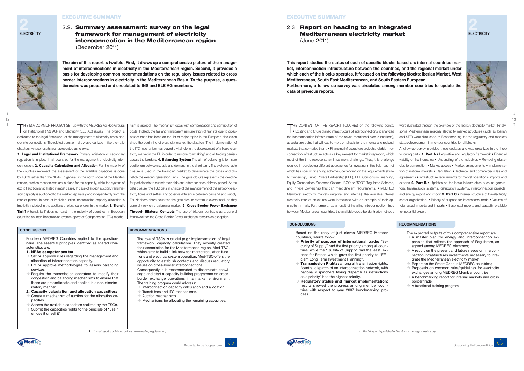### **CONCLUSIONS RECOMMENDATIONS**

### **CONCLUSIONS RECOMMENDATIONS**

THIS IS A COMMON PROJECT SET up with the MEDREG Ad Hoc Groups on Institutional (INS AG) and Electricity (ELE AG) issues. The project is dedicated to the legal framework of the management of electricity cross-border interconnections. The related questionnaire was organized in five thematic chapters, whose results are represented as follows:

1. Legal and Institutional Framework Primary legislation or secondary regulation is in place in all countries for the management of electricity interconnection. 2. Capacity Calculation and Allocation For the majority of the countries reviewed, the assessment of the available capacities is done by TSOS rather than the NRAs. In general, in the north shore of the Mediterranean, auction mechanisms are in place for the capacity, while the system of explicit auction is facilitated in most cases. In case of explicit auction, transmission capacity is auctioned to the market separately and independently from the market places. In case of implicit auction, transmission capacity allocation is implicitly included in the auctions of electrical energy in the market 3. Transit **Tariff** A transit tariff does not exist in the majority of countries. In European countries an Inter-Transmission system operator Compensation (ITC) mecha-

nism is applied. The mechanism deals with compensation and contribution of costs. Indeed, the fair and transparent remuneration of transits due to crossborder trade has been on the list of major topics in the European discussion since the beginning of electricity market liberalization. The implementation of the ITC mechanism has played a vital role in the development of a liquid electricity market in the EU in order to remove "pancaking" and all trading barriers across the borders. 4. Balancing System The aim of balancing is to insure equilibrium between supply and demand in the short term. The system of gate closure is used in the balancing market to determinate the prices and dispatch the existing generation units. The gate closure represents the deadline for participants to submit their bids and offers for each delivery period. At the gate closure, the TSO gets in charge of the management of the network electricity flows and settles any possible difference between demand and supply. For Northern shore countries the gate closure system is exceptional, as they generally rely on a balancing market. **5. Cross Border Power Exchange** Through Bilateral Contacts The use of bilateral contracts as a general framework for the Cross Border Power exchange remains an exception.

Fourteen MEDREG Countries replied to the questionnaire. The essential principles identified as shared characteristics are:

### 1. NRAs competences to:

or lose it or sell it".

- $\rightarrow$  Set or approve rules regarding the management and allocation of interconnection capacity.
- $\rightarrow$  Fix or approve methodologies to assess balancing services.
- $\rightarrow$  Require the transmission operators to modify their congestion and balancing mechanisms to ensure that these are proportionate and applied in a non-discriminatory manner.
- 2. Capacity calculation and allocation capacities:
- $\rightarrow$  Create a mechanism of auction for the allocation capacities.
- $\rightarrow$  Assess the available capacities realized by the TSOs.  $\rightarrow$  Submit the capacities rights to the principle of "use it

### $\rightarrow$  Interconnection capacity calculation and allocation.  $\rightarrow$  Transit fees and ITC mechanisms.  $\rightarrow$  Auction mechanisms.

The role of TSOs is crucial (e.g.: implementation of legal framework, capacity calculation). They recently created their association for the Mediterranean region, Med-TSO, which aims to build a link between market regulation functions and electrical system operation. Med-TSO offers the opportunity to establish contacts and discuss regulatory

- $\rightarrow$  Priority of purpose of international trade: "Security of Supply" had the first priority among all countries, while the "Quality of Supply" had the least, except for France which gave the first priority to "Efficient Long Term Investment Planning".
- $\rightarrow$  Transmission Rights: among all transmission rights, "central dispatch of an interconnection network, with national dispatchers taking dispatch as instructions as a priority" had the highest priority.
- $\rightarrow$  Regulatory status and market implementation: results showed the progress among member countries with respect to year 2007 benchmarking process.
- The expected outputs of this comprehensive report are:  $\rightarrow$  A master plan for energy and interconnection expansion that reflects the approach of Regulators, as agreed among MEDREG Members;
- $\rightarrow$  A report on the present and future needs on interconnection infrastructures investments necessary to integrate the Mediterranean electricity market;
- $\rightarrow$  Report on the Smart Grids in MEDREG countries;
- $\rightarrow$  Proposals on common rules/guidelines for electricity exchanges among MEDREG Member countries;
- $\rightarrow$  A benchmarking report for internal markets and cross border trade;
- $\rightarrow$  A functional training program.

issues on cross-border interconnections.

Consequently, it is recommended to disseminate knowledge and start a capacity building programme on crossborder exchange operations in a market environment.

The training program could address:

### **EXECUTIVE SUMMARY**

Mechanisms for allocating the remaining capacities.

THE CONTENT OF THE REPORT TOUCHES on the following points: • Existing and future planed infrastructure of interconnections: it analyzed the interconnection infrastructure of the seven mentioned blocks (markets), as a starting point that will lead to more emphasis for the internal and regional markets that comprise them. • Financing infrastructure projects: reliable interconnection infrastructure acts as a key element for market integration, which most of the time represents an investment challenge. Thus, this challenge resulted in developing different approaches for investing in this field, each of which has specific financing schemes, depending on the requirements (Public Ownership, Public Private Partnership (PPP), PPP Consortium Financing, Equity Composition Schemes Options, BOO or BOOT Regulated Scheme, and Private Ownership) that can meet different requirements. • MEDREG Members' electricity markets (regional and internal): the available internal electricity market structures were introduced with an example of their application in Italy. Furthermore, as a result of installing interconnection lines between Mediterranean countries, the available cross-border trade methods

were illustrated through the example of the Iberian electricity market. Finally, some Mediterranean regional electricity market structures (such as Iberian and SEE) were discussed. • Benchmarking for the regulatory and markets status/development in member countries for all blocks.

A follow-up survey provided these updates and was organized in the three following parts: **1. Part A**  $\bullet$  Legislative and regulatory framework  $\bullet$  Financial viability of the industries • Unbundling of the industries • Removing obstacles to competition • Market access • Market arrangements • Implementation of national markets • Regulation • Technical and commercial rules and agreements • Infrastructure requirements for market operation • Imports and exports 2. Part B • Updates on the basic infrastructure such as generators, transmission systems, distribution systems, interconnection projects, and energy export and import  $3.$  Part  $C \cdot$  Internal structure of the electricity sector organization. • Priority of purpose for international trade • Volume of total actual imports and imports • Base load imports and capacity available for potential export

Based on the reply of just eleven MEDREG Member countries, results follow:



### **EXECUTIVE SUMMARY**



**Supported by the European Unio** 

¢ *The full report is published online at www.medreg-regulators.org*

2.2. Summary assessment: survey on the legal framework for management of electricity interconnection in the Mediterranean region (December 2011)



**The aim of this report is twofold. First, it draws up a comprehensive picture of the management of interconnections in electricity in the Mediterranean region. Second, it provides a basis for developing common recommendations on the regulatory issues related to cross border interconnections in electricity in the Mediterranean Basin. To the purpose, a questionnaire was prepared and circulated to INS and ELE AG members.**

2.3. Report on heading to an integrated Mediterranean electricity market (June 2011)

**This report studies the status of each of specific blocks based on: internal countries market, interconnection infrastructure between the countries, and the regional market under which each of the blocks operates. It focused on the following blocks: Iberian Market, West Mediterranean, South East Mediterranean, and South Eastern European. Furthermore, a follow up survey was circulated among member countries to update the data of previous reports.**







**2** ELECTRICITY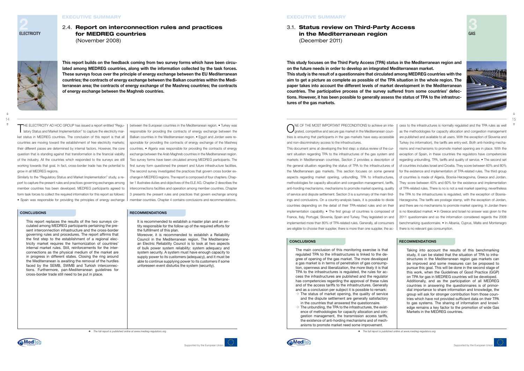### **CONCLUSIONS RECOMMENDATIONS**

THE ELECTRICITY AD HOC GROUP has issued a report entitled "Regu-<br>latory Status and Market Implementation" to capture the electricity market status in MEDREG countries. The conclusion of this report is that all countries are moving toward the establishment of free electricity markets; their different paces are determined by internal factors. However, the core question that is standing against that transformation is the financial viability of the industry. All the countries which responded to the surveys are still working towards that goal. In fact, cross-border trade has the potential to grow in all MEDREG regions. between the European countries in the Mediterranean region. • Turkey was responsible for providing the contracts of energy exchange between the Balkan countries in the Mediterranean region. • Egypt and Jordan were responsible for providing the contracts of energy exchange of the Mashreq countries. • Algeria was responsible for providing the contracts of energy exchange between the Arab Maghreb countries in the Mediterranean region. Two survey forms have been circulated among MEDREG participants. The first survey form questioned the present and future infrastructure facilities. The second survey investigated the practices that govern cross border ex-

Similarly to the "Regulatory Status and Market Implementation" study, a report to capture the present rules and practices governing exchanges among member countries has been developed. MEDREG participants agreed to form task forces to collect the required information for this report as follows: • Spain was responsible for providing the principles of energy exchange

It is recommended to establish a master plan and an entity responsible for the follow up of the required efforts for the fulfillment of this plan.

ONE OF THE MOST IMPORTANT PRECONDITIONS to achieve an inte-<br>grated, competitive and secure gas market in the Mediterranean countries is ensuring that participants in the gas markets have easy-accessible and non-discriminatory access to the infrastructures.

change in MEDREG regions. The report is composed of four chapters. Chapter 1 illustrates duties and objectives of the ELE AG. Chapter 2 describes the interconnections facilities and operation among member countries. Chapter 3 presents the present rules and practices that govern exchange among member countries. Chapter 4 contains conclusions and recommendations.

This report replaces the results of the two surveys circulated among MEDREG participants pertaining the present interconnection infrastructure and the cross-border governing rules and procedures. The report affirms that the first step to the establishment of a regional electricity market requires the harmonization of countries' internal market rules. Still, reinforcements for the interconnections as the physical medium of the market are in progress in different states. Closing the ring around the Mediterranean is awaiting the removal of the hurdles faced by the SEMB, SWMB and Turkish interconnections. Furthermore, pan-Mediterranean guidelines for cross-border trade still need to be put in place.

### **CONCLUSIONS RECOMMENDATIONS**

The main conclusion of this monitoring exercise is that regulated TPA to the infrastructures is linked to the degree of opening of the gas market. The more developed a gas market is in terms of penetration of gas consumption, openness and liberalization, the more likely it is that TPA to the infrastructures is regulated, the rules for access the infrastructures are published and the regulator has competencies regarding the approval of these rules and of the access tariffs to the infrastructures. Generally and as a conclusion per subject it is possible to remark:  $\rightarrow$  The status of market opening, the quality of service

Moreover, it is recommended to establish a Reliability Council in the Mediterranean region. The Mediterranean Electric Reliability Council is to look at two aspects of bulk power system reliability: system adequacy and system security. A system must have enough capacity to supply power to its customers (adequacy), and it must be able to continue supplying power to its customers if some unforeseen event disturbs the system (security).

This document aims at developing the first step: a status review of the current situation regarding TPA to the infrastructures of the gas system and markets in Mediterranean countries. Section 2 provides a description of the general situation regarding the status of TPA to the infrastructures of the Mediterranean gas markets. This section focuses on some general aspects regarding market opening, unbundling, TPA to infrastructures, methodologies for capacity allocation and congestion management, tariffs, anti-hording mechanisms, mechanisms to promote market opening, quality of service and dispute settlement. Section 3 is a summary of the main findings and conclusions. On a country-analysis basis, it is possible to divide countries depending on the detail of their TPA-related rules and on their implementation capability. • The first group of countries is composed of France, Italy, Portugal, Slovenia, Spain and Turkey. They legislated on and implemented more than 80% of TPA-related rules. Generally, all consumers are eligible to choose their supplier, there is more than one supplier, the ac-

cess to the infrastructures is normally regulated and the TPA rules as well as the methodologies for capacity allocation and congestion management are published and available to all users. With the exception of Slovenia and Turkey (no information), the tariffs are entry-exit. Both anti-hording mechanisms and mechanisms to promote market opening are in place. With the exception of Spain, in these countries the regulators have competencies regarding unbundling, TPA, tariffs and quality of service. • The second set of countries includes Israel and Croatia. They score between 60% and 80% for the existence and implementation of TPA-related rules. The third group of countries is made of Algeria, Bosnia-Herzegovina, Greece and Jordan. They score between 40% and 60% for the existence and implementation of TPA-related rules. There is no is not a real market opening; nevertheless the TPA to the infrastructures is regulated, with the exception of Bosnia-Herzegovina. The tariffs are postage stamp, with the exception of Jordan, and there are no mechanisms to promote market opening. In Jordan there is no liberalized market. • In Greece and Israel no answer was given to the 2011 questionnaire and so the information considered regards the 2008 benchmarking questionnaire. • In Albania, Cyprus, Malta and Montenegro there is no relevant gas consumption.

- and the dispute settlement are generally satisfactory in the countries that answered the questionnaire.
- $\rightarrow$  The unbundling, the TPA to the infrastructures, the existence of methodologies for capacity allocation and congestion management, the transmission access tariffs, the existence of anti-hording mechanisms and of mechanisms to promote market need some improvement.

Taking into account the results of this benchmarking study, it can be stated that the situation of TPA to infrastructures in the Mediterranean region gas markets can be improved and some measures can be proposed to pursue this goal. This will be done in the second stage of this work, when the Guidelines of Good Practice (GGP) on TPA for gas in MEDREG countries will be developed. Additionally, and as the participation of all MEDREG countries in answering the questionnaires is of primordial importance to share information and knowledge, the group will ask for stronger contribution from those countries which have not provided sufficient data on their TPA to gas systems. The sharing of information and knowledge remains a key factor to the promotion of wide Gas Markets in the MEDREG countries.







¢ *The full report is published online at www.medreg-regulators.org*

# 2.4. Report on interconnection rules and practices for MEDREG countries

(November 2008)



**This report builds on the feedback coming from two survey forms which have been circulated among MEDREG countries, along with the information collected by the task forces. These surveys focus over the principle of energy exchange between the EU Mediterranean countries; the contracts of energy exchange between the Balkan countries within the Mediterranean area; the contracts of energy exchange of the Mashreq countries; the contracts of energy exchange between the Maghreb countries.**

# 3.1. Status review on Third-Party Access in the Mediterranean region (December 2011)

**This study focuses on the Third Party Access (TPA) status in the Mediterranean region and on the future needs in order to develop an integrated Mediterranean market. This study is the result of a questionnaire that circulated among MEDREG countries with the aim to get a picture as complete as possible of the TPA situation in the whole region. The paper takes into account the different levels of market development in the Mediterranean countries. The participative process of the survey suffered from some countries' defections. However, it has been possible to generally assess the status of TPA to the infrastructures of the gas markets.**





**2** ELECTRICITY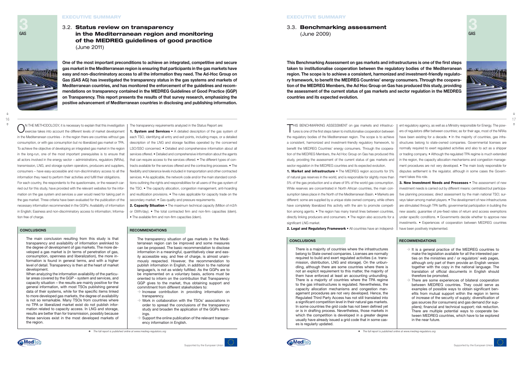### **CONCLUSIONS RECOMMENDATIONS**

ON THE METHODOLOGY, it is necessary to explain that this investigation<br>exercise takes into account the different levels of market development in the Mediterranean countries - in the region there are countries without gas consumption, or with gas consumption but no liberalized gas market or TPA. To achieve the objective of developing an integrated gas market in the region in the long-run, one of the most important prerequisites is to ensure that all actors involved in the energy sector – administrations, regulators (NRAs), transmission, LNG, and storage system operators, producers and suppliers, consumers – have easy-accessible and non-discriminatory access to all the information they need to perform their activities and fulfill their obligations. For each country, the respondents to the questionnaire, or the research carried out for this study, have provided with the relevant websites for the information on the gas system and services a user would need for taking part in the gas market. Three criteria have been evaluated for the publication of the necessary information recommended in the GGPs: Availability of information in English; Easiness and non-discriminatory access to information; Information free of charge.

1. System and Services • A detailed description of the gas system of each TSO, identifying all entry and exit points, including maps, or a detailed

description of the LNG and storage facilities operated by the concerned LSO/SSO concerned. • Detailed and comprehensive information about all services offered. • Detailed and comprehensive information about the agents that can require access to the services offered. • The different types of contracts available for the services offered and the contracting processes. • The flexibility and tolerance levels included in transportation and other contracted services. • As applicable, the network code and/or the main standard conditions outlining the rights and responsibilities for all users of the gas system of the TSO. • The capacity allocation, congestion management, anti-hoarding and reutilization provisions. • The rules applicable for capacity trade on the secondary market. • Gas quality and pressure requirements.

2. Capacity Situation • The maximum technical capacity (Million of m3/h or GWh/day). • The total contracted firm and non-firm capacities (idem). • The available firm and non-firm capacities (idem).

The transparency requirements analyzed in the Status Report are:

 $\rightarrow$  Increase contribution in providing information on transparency.

- $\rightarrow$  Work in collaboration with the TSOs' associations in order to spread the conclusions of the transparency study and broaden the application of the GGPs learnings.
- $\Rightarrow$  Support the online publication of the relevant transparency information in English.

THIS BENCHMARKING ASSESSMENT on gas markets and infrastructures is one of the first steps taken to institutionalise cooperation between the regulatory bodies of the Mediterranean region. The scope is to achieve a consistent, harmonized and investment-friendly regulatory framework, to benefit the MEDREG Countries' energy consumers. Through the cooperation of the MEDREG Members, the Ad Hoc Group on Gas has produced this study, providing the assessment of the current status of gas markets and sector regulation in the MEDREG countries and its expected evolution.

The main conclusion resulting from this study is that transparency and availability of information arelinked to the degree of development of gas markets. The more developed a gas market is (in terms of penetration of gas, consumption, openness and liberalization), the more information is found in general terms, and with a higher level of detail. Transparency is then at the heart of market development.

When analyzing the information availability of the particular areas covered by the GGP – system and services, and capacity situation – the results are mainly positive for the general information, with most TSOs publishing general data of their systems, while for the specific items linked to more developed gas markets, the degree of availability is not so remarkable. Many TSOs from countries where no TPA or liberalized market exist do not publish information related to capacity access. In LNG and storage, results are better than for transmission, possibly because these services exist in the most developed markets of the region.

1. Market and infrastructure • The MEDREG region accounts for 5% of natural gas reserves in the world, and is responsible for slightly more than 5% of the gas production and a share of 9% of the world gas consumption. While reserves are concentrated in North African countries, the main consumption takes place in the North of the Mediterranean Basin. • Markets are different: some are supplied by a unique state owned company, while others have completely liberalized this activity with the aim to promote competition among agents. • The region has many transit lines between countries, directly linking producers and consumers. • The region also accounts for a significant LNG market. ment takes this role. 3. New Investment Needs and Processes • The assessment of new investment needs is carried out by different means: centralized but participative planning processes; direct assessment by the main national TSO; surveys taken among market players. • The development of new infrastructures are stimulated through TPA tariffs; governmental participation in building the new assets; guarantee of pre-fixed rates of return and access exemptions under specific conditions. • Governments decide whether to approve new investments. • Experiences of cooperation between MEDREG countries

2. Legal and Regulatory Framework • All countries have an independhave been positively implemented.

The transparency situation of gas markets in the Mediterranean region can be improved and some measures can be proposed. The basic recommendation to disclose information in a meaningful, quantitatively clear and easily accessible way, and free of charge, is almost unanimously respected. However, the recommendation to publish information in English, in addition to the national language/s, is not as widely fulfilled. As the GGPs are to be implemented on a voluntary basis, actions must be oriented to inform on the contribution that Transparency GGP gives to the market, thus obtaining support and commitment from different stakeholders to:

- $\rightarrow$  It is a general practice of the MEDREG countries to make the legislation available for all the interested parties on the ministries and / or regulators' web pages, although only part of them provide an English version together with the copy in the national language. The translation of official documents in English should therefore be promoted.
- $\rightarrow$  There are some experiences of bilateral cooperation between MEDREG countries. They could serve as examples of possible ways to obtain significant benefits from mutual support within the region in terms of increase of the security of supply; diversification of gas sources (for consumers) and gas demand (for suppliers); financial and technical support; risk reduction. There are multiple potential ways to cooperate between MEDREG countries, which have to be explored in the near future.



ent regulatory agency, as well as a Ministry responsible for Energy. The powers of regulators differ between countries; as for their age, most of the NRAs have been existing for a decade. • In the majority of countries, gas infrastructures belong to state-owned companies. Governmental licenses are normally required to exert regulated activities and also to act as a shipper or trading company. • Although the regulated TPA regime is much extended in the region, the capacity allocation mechanisms and congestion management procedures are not very developed. • The main body responsible for disputes settlement is the regulator, although in some cases the Govern-

### **CONCLUSIONS RECOMMENDATIONS**

There is a majority of countries where the infrastructures belong to State owned companies. Licenses are normally required to build and exert regulated activities (i.e. transmission, distribution, LNG and storage). On the unbundling, although there are some countries where there is not an explicit requirement to this matter, the majority of them have enforced at least an accounting unbundling. There is a majority of countries where the TPA regime to the gas infrastructures is regulated. Nevertheless, the capacity allocation mechanisms and congestion management procedures are not very developed. Hence, the Regulated Third Party Access has not still translated into a significant competition level in their natural gas markets. In some countries the grid code has not been defined yet or is in drafting process. Nevertheless, those markets in which the competition is developed in a greater degree usually have already issued a grid code that in some cases is regularly updated.







¢ *The full report is published online at www.medreg-regulators.org*

# 3.2. Status review on transparency in the Mediterranean region and monitoring of the MEDREG guidelines of good practice (June 2011)



**One of the most important preconditions to achieve an integrated, competitive and secure gas market in the Mediterranean region is ensuring that participants in the gas markets have easy and non-discriminatory access to all the information they need. The Ad-Hoc Group on Gas (GAS AG) has investigated the transparency status in the gas systems and markets of Mediterranean countries, and has monitored the enforcement of the guidelines and recommendations on transparency contained in the MEDREG Guidelines of Good Practice (GGP) on Transparency. This report presents the results of that survey research, emphasizing the positive advancement of Mediterranean countries in disclosing and publishing information.**

## 3.3. Benchmarking assessment (June 2009)

**This Benchmarking Assessment on gas markets and infrastructures is one of the first steps taken to institutionalise cooperation between the regulatory bodies of the Mediterranean region. The scope is to achieve a consistent, harmonized and investment-friendly regulatory framework, to benefit the MEDREG Countries' energy consumers. Through the cooperation of the MEDREG Members, the Ad Hoc Group on Gas has produced this study, providing the assessment of the current status of gas markets and sector regulation in the MEDREG countries and its expected evolution.**



¢ *The full report is published online at www.medreg-regulators.org*

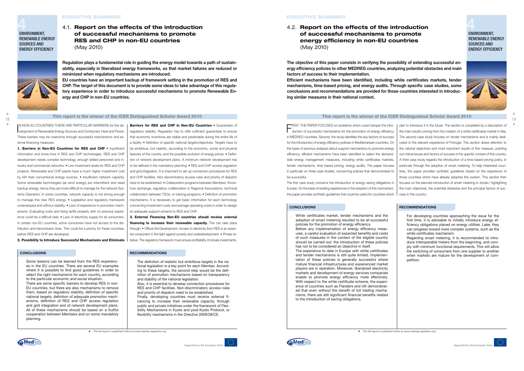

 $\ddag$ 

↑

### This report is the winner of the ICER Distinguished Scholar Award 2010 This report is the winner of the ICER Distinguished Scholar Award 2010 18 increpation are minor or and recent Demographed Conclusion in the Law Copyright of the number of the recent Demographed Conclusion and  $19$

### **CONCLUSIONS RECOMMENDATIONS**

IN NON-EU COUNTRIES THERE ARE PARTICULAR BARRIERS for the de-<br>velopment of Renewable Energy Sources and Combyned Heat and Power. velopment of Renewable Energy Sources and Combyned Heat and Power. These barriers may be overcome through successful mechanisms and external financing measures.

1. Barriers in Non-EU Countries for RES and CHP • Insufficient information and know-how in RES and CHP technologies. RES and CHP development needs complex technology, enough skilled personnel and industry and commercial networks. • Low investment levels for RES and CHP projects. Renewable and CHP plants have a much higher investment cost by kW than conventional energy sources. • Insufficient network capacity. Some renewable technologies (as wind energy) are intermittent and need backup energy, hence they are more difficult to manage for the network Systems Operators. In some countries, network capacity is not strong enough to manage this new RES energy. • Legislative and regulatory framework undeveloped and without stability. • Lack of experience in promotion mechanisms. Evaluating costs and fixing tariffs properly with no previous experience could be a difficult task. • Lack of electricity supply for all consumers. In certain non-EU countries, some consumers have not access to the distribution and transmission lines. This could be a priority for these countries, before RES and CHP are developed.

Barriers for RES and CHP in Non-EU Countries • Guarantees of regulatory stability. Regulation has to offer sufficient guarantees to ensure that economic incentives are stable and predictable during the entire life of a facility. • Definition of specific national targets/objectives. Targets have to be ambitious, but realistic, according to the economic, social and physical features of the country, and the possible evolution of energy prices. • Definition of network development plans. A minimum network development has to be defined in the mandatory planning. • RES and CHP access regulation and grid integration. It is important to set up connection procedures for RES and CHP facilities. Non-discriminatory access rules and priority of dispatch have to be established. • Collaboration programs between Members. Knowhow exchange, regulatory collaboration in Regional Associations, technical collaboration between TSOs, or training programs. • Definition of promotion mechanisms. It is necessary to get basic information for each technology concerning investment costs and average operating costs in order to design an adequate support scheme to RES and CHP.

2. Possibility to Introduce Successful Mechanisms and Eliminate

3. External Financing Non-EU countries should receive external financing to increase their renewable capacity. This can take place through: • Official Aid Development. Access to electricity from RES is an essential component in the fight against poverty and underdevelopment. • Private initiative. The regulatory framework must ensure profitability of private investments.

Some lessons can be learned from the RES experiences in the EU countries. There are several EU examples where it is possible to find good guidelines in order to select the right mechanisms for each country, according to the particular economic and social situation. There are some specific barriers to develop RES in non-

EU countries, but there are also mechanisms to remove them, based on regulatory stability, definition of specific national targets, definition of adequate promotion mechanisms, definition of RES and CHP access regulation and grid integration and of network development plans. All of these mechanisms should be based on a fruitful cooperation between Members and on some mandatory planning.

### **CONCLUSIONS RECOMMENDATIONS**

The definition of realistic but ambitious targets in the national legislation is a key point for each Member. According to these targets, the second step would be the definition of promotion mechanisms based on transparency and stability of the national legislation.

Also, it is essential to develop connection procedures for RES and CHP facilities. Non-discriminatory access rules and priority of dispatch need to be established. Finally, developing countries must receive external fi-

nancing to increase their renewable capacity, through public and private initiatives under the framework of Flexibility Mechanisms in Kyoto and post-Kyoto Protocol, or flexibility mechanisms in the Directive 2009/28/CE.

FIRST, THE PAPER FOCUSES on problems which could hamper the intro-duction of successful mechanisms for the promotion of energy efficiency in MEDREG countries. Second, the study identifies the key factors of success for the introduction of energy efficiency policies in Mediterranean countries. On the basis of previous analyses about support mechanisms to promote energy efficiency, efficient mechanisms have been identified to select the demandside energy management measures, including white certificates markets, tender mechanisms, time based pricing, energy audits. The paper focuses in particular on three case studies, concerning policies that demonstrated to be successful. The first case study concerns the introduction of energy saving obligations in Europe. On the basis of existing experiences in the adoption of this mechanism, the paper provides synthetic guidelines that could be useful for countries which plan to introduce it in the future. The section is completed by a description of the main results coming from the creation of a white certificates market in Italy. The second case study focuses on tender mechanisms and is mainly dedicated to the relevant experience of Portugal. This section draws attention to the rational objectives and most important results of this measure, pointing out critical issues and factors of success in the specific context of this country. A third case study regards the introduction of a time based pricing policy, in particular through the adoption of smart metering. To help interested countries, the paper provides synthetic guidelines based on the experience of those countries which have already adopted this system. This section then focuses on the planned introduction of smart metering in Jordan, highlighting the main objectives, the potential obstacles and the principal factors of success in this country.

White certificates market, tender mechanisms and the adoption of smart metering resulted to be all successful policies for the promotion of energy efficiency. Before any implementation of energy efficiency measures, a careful evaluation of expected benefits and costs of such measures in the context of the eligible country should be carried out: the introduction of these policies has not to be considered an objective in itself. The experience to date in Europe with white certificates and tender mechanisms is still quite limited. Implementation of these policies is generally successful where mature financial infrastructures and experienced market players are in operation. Moreover, liberalized electricity markets and development of energy services companies enable to promote energy efficiency more effectively. With respect to the white certificate scheme, the experience of countries such as Flanders and UK demonstrated that even without the benefit of full trading mechanisms, there are still significant financial benefits related to the introduction of saving obligations.



For developing countries approaching the issue for the first time, it is advisable to initially introduce energy efficiency obligations placed on energy utilities. Later, they can progress toward more complex systems, such as the white certificates mechanism.

Regarding smart metering, it is recommended to introduce interoperable meters from the beginning, and comply with minimum functional requirements. This will allow the switching of consumers from one supplier to another when markets are mature for the development of competition.

# **4** ENVIRONMENT, RENEWABLE ENERGY SOURCES AND ENERGY EFFICIENCY



**4** ENVIRONMENT, RENEWABLE ENERGY SOURCES AND ENERGY EFFICIENCY



### **EXECUTIVE SUMMARY**

### Executive Summary

¢ *The full report is published online at www.medreg-regulators.org*

4.1. Report on the effects of the introduction of successful mechanisms to promote RES and CHP in non-EU countries (May 2010)



**Regulation plays a fundamental role in guiding the energy model towards a path of sustainability, especially in liberalized energy frameworks, so that market failures are reduced or minimized when regulatory mechanisms are introduced.**

**EU countries have an important backup of framework setting in the promotion of RES and CHP. The target of this document is to provide some ideas to take advantage of this regulatory experience in order to introduce successful mechanisms to promote Renewable Energy and CHP in non-EU countries.**

4.2. Report on the effects of the introduction of successful mechanisms to promote energy efficiency in non-EU countries (May 2010)

**The objective of this paper consists in verifying the possibility of extending successful energy efficiency policies to other MEDREG countries, analyzing potential obstacles and main factors of success to their implementation.**

**Efficient mechanisms have been identified, including white certificates markets, tender mechanisms, time-based pricing, and energy audits. Through specific case studies, some conclusions and recommendations are provided for those countries interested in introducing similar measures in their national context.**

**Association of Mediterranean Regulators**

**MedRe** 

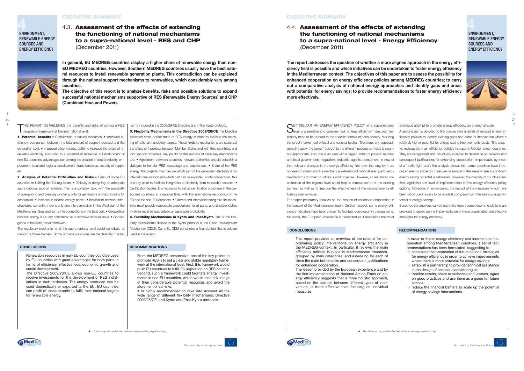### **RECOMMENDATIONS**

THIS REPORT ESTABLISHES the benefits and risks of setting a RES regulatory framework at the international level:

1. Potential benefits • Optimization of natural resources. • Improved efficiency: comparison between the total amount of support received and the generation cost. • Improved effectiveness: ability to increase the share of renewable electricity according to a potential of reference. • Development of non-EU countries: advantages concerning the creation of a local industry, employment, local and regional development, trade balances, security of supply, etc.

2. Analysis of Potential Difficulties and Risks • Delay of some EU countries in fulfilling the EU regulation. • Difficulty in designing an adequate supra-national support scheme. This is a complex task, with the possibility of over-pricing and creating windfall profits for generators and extra costs for consumers. • Increase in electric energy prices. • Insufficient network infrastructures: currently, there is only one interconnection in the West part of the Mediterranean Sea, and some interconnections in the East part. • Geopolitical barriers: energy is usually considered as a sensitive national issue. • Convergence in the institutional framework.

The regulatory mechanisms at the supra-national level could contribute to overcome those barriers. Some of these provisions are the flexibility mecha-

4. Flexibility Mechanisms in Kyoto and Post-Kyoto One of the flexibility mechanisms defined in the Kyoto protocol is the Clean Development Mechanism (CDM). Currently, CDM constitutes a financial tool that is seldom

nisms included in the 2009/28/CE Directive and in the Kyoto protocol. 3. Flexibility Mechanisms in the Directive 2009/28/CE The Directive facilitates cross-border trade of RES energy in order to facilitate the reaching of national mandatory targets. These flexibility mechanisms are statistical transfers, joint projects between Member States and with third countries, and joint support schemes. Key points for the success of these key mechanisms are: • Agreement between countries: relevant authorities should establish a dialogue to transfer RES knowledge and experiences. • Share of the RES energy: the projects must decide which part of the generated electricity is for internal consumption and which part can be exported. • Interconnections: this is a key point to facilitate integration of electricity from renewable sources. • Certification bodies: It is necessary to set up certification organisms in the participant countries, at a national level, with the international recognition of the EU and the non-EU Members. • External and internal financing mix: the incentives must provide reasonable expectations for all parts, and all stakeholders

↑

SETTING OUT AN ENERGY EFFICIENCY POLICY at a supra-national<br>Sevel is a sensitive and complex task. Energy efficiency measures necessarily need to be tailored to the specific context of each country, requiring the direct involvement of local and national bodies. Therefore, any approach aimed to apply the same "recipes" to the different national contexts is clearly not appropriate. Also, this is an area with a large number of players: national and local governments, regulators, industrial agents, consumers. In view of that, relevant changes in the energy efficiency field over the long-term are not easy to obtain and the mechanical extension of national energy efficiency mechanisms to other countries is void of sense. However, an enhanced coordination at the regional level could help to remove some of the existing barriers, as well as to improve the effectiveness of the national energy efficiency interventions.

involved must be guaranteed a reasonable profitability.

used in the region.

Renewable resources in non-EU countries could be used by EU countries with great advantages for both parts in terms of efficiency, effectiveness, economic growth and social development.

The Directive 2009/28/CE allows non-EU countries to receive investments for the development of RES installations in their territories. The energy produced can be used domestically or exported to the EU. EU countries can profit of these exports to fulfill their national targets for renewable energy.

From the MEDREG perspective, one of the key points to promote RES is to set a clear and stable regulatory framework at the international level. First, this framework would push EU countries to fulfill EU legislation on RES on time. Second, such a framework could facilitate energy investments in non-EU countries, which would take advantage of their considerable potential resources and avoid the aforementioned risks.

- $\rightarrow$  accelerate the preparation of future national strategies for energy efficiency in order to achieve improvements where there is more potential for energy savings;
- $\rightarrow$  establish a partnership to provide technical assistance in the design of national plans/strategies;
- $\rightarrow$  monitor results, share experiences and lessons, agree on good practices and use them as a guide for future actions;
- $\rightarrow$  reduce the financial barriers to scale up the potential of energy savings interventions.

It is highly recommended to take into account all the wide range of different flexibility mechanisms: Directive 2009/28/CE, and Kyoto and Post-Kyoto protocols.

### **EXECUTIVE SUMMARY**

The paper preliminary focuses on the scopes of enhanced cooperation in the context of the Mediterranean basin. On that respect, some energy efficiency indicators have been chosen to facilitate cross-country comparisons. Moreover, the European experience is presented as it represents the most tential of energy savings. Based on the analyses carried out in the report some recommendations are provided to speed up the implementation of more coordinated and effective strategies for energy efficiency.

ambitious attempt to promote energy efficiency on a regional scale. A second part is devoted to the comparative analysis of national energy efficiency policies to identify existing gaps and areas of intervention where a relatively higher potential for energy saving improvements exists. This chapter reviews the main efficiency policies in place in Mediterranean countries. They are categorized and individually analyzed to determine bottlenecks and consequent justifications for enhancing cooperation. In particular, by mean of a "traffic light box", the analysis shows that some countries have introduced energy efficiency measures in several of the areas where a significant energy saving potential is estimated. However, the majority of countries limit their legislation and level of implementation to few energy efficiency policy options. Moreover, in some cases, the impact of the measures which have been introduced results to be modest compared with the existing large po-

This report provides an overview of the rational for coordinating policy interventions on energy efficiency in the MEDREG context. In particular, it reviews the main efficiency policies in place in Mediterranean countries, grouped by main categories, and assessing for each of them the main bottlenecks and consequent justifications for enhanced cooperation.

The lesson provided by the European experience and by the first implementation of National Action Plans on energy efficiency suggests that a more holistic approach, based on the balance between different types of intervention, is more effective than focusing on individual measures.

In order to foster energy efficiency and international cooperation among Mediterranean countries, a set of recommendations has been formulated, suggesting to:

**4** ENVIRONMENT, RENEWABLE ENERGY SOURCES AND ENERGY EFFICIENCY



**4** ENVIRONMENT, RENEWABLE ENERGY SOURCES AND ENERGY EFFICIENCY







### **CONCLUSIONS**

### Executive Summary

¢ *The full report is published online at www.medreg-regulators.org*

4.3. Assessment of the effects of extending the functioning of national mechanisms to a supra-national level - RES and CHP (December 2011)

**In general, EU MEDREG countries display a higher share of renewable energy than non-EU MEDREG countries. However, Southern MEDREG countries usually have the best natural resources to install renewable generation plants. This contradiction can be explained through the national support mechanisms to renewables, which considerably vary among countries.**

**The objective of this report is to analyze benefits, risks and possible solutions to expand successful national mechanisms supportive of RES (Renewable Energy Sources) and CHP (Combined Heat and Power).**

4.4. Assessment of the effects of extending the functioning of national mechanisms to a supra-national level - Energy Efficiency (December 2011)

**The report addresses the question of whether a more aligned approach in the energy efficiency field is possible and which initiatives can be undertaken to foster energy efficiency in the Mediterranean context. The objectives of this paper are to assess the possibility for enhanced cooperation on energy efficiency policies among MEDREG countries; to carry out a comparative analysis of national energy approaches and identify gaps and areas with potential for energy savings; to provide recommendations to foster energy efficiency more effectively.**



### **CONCLUSIONS RECOMMENDATIONS**

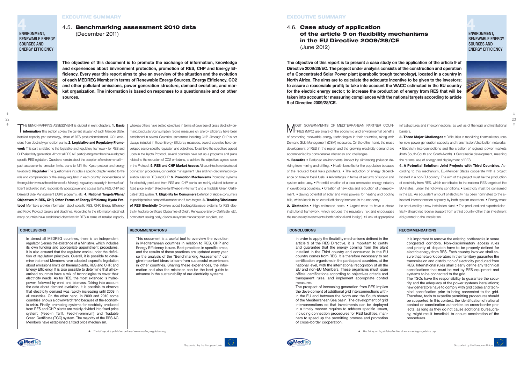### **CONCLUSIONS RECOMMENDATIONS CONCLUSIONS RECOMMENDATIONS**

# **4** ENVIRONMENT, RENEWABLE ENERGY SOURCES AND ENERGY EFFICIENCY



 $\ddotmark$  $\hat{\tau}$ 

### **EXECUTIVE SUMMARY**

RENEWABLE ENERGY SOURCES AND ENERGY EFFICIENCY

taxation 3. Regulator The questionnaire includes a specific chapter related to the role and competencies of the energy regulator in each country: independence of the regulator (versus the existence of a Ministry), regulatory capacity in terms of sufficient and skilled staff, responsibility about power and access tariffs, RES, CHP and Demand Side Management (DSM) programs, etc. 4. National Targets/Plans/ Objectives in RES, CHP, Other Forms of Energy Efficiency, Kyoto Protocol Members provide information about specific RES, CHP, Energy Efficiency and Kyoto Protocol targets and deadlines. According to the information obtained, many countries have established objectives for RES in terms of installed capacity,

In almost all MEDREG countries, there is an independent regulator (versus the existence of a Ministry), which includes its own funding and appropriate appointment procedures. It is also ensured that the regulator works under the definition of regulatory principles. Overall, it is possible to determine that most Members have adopted a specific legislation about emissions limits on thermal plants, RES and CHP, and Energy Efficiency. It is also possible to determine that all examined countries have a mix of technologies to cover their electricity needs. As for RES, the most extended is hydropower, followed by wind and biomass. Taking into account the data about demand evolution, it is possible to observe that electricity demand was rapidly increasing until 2008 in all countries. On the other hand, in 2009 and 2010 some countries shows a downward trend because of the economic crisis. Finally, promoting systems for electricity produced from RES and CHP plants are mainly divided into fixed price system: (Feed-in Tariff, Feed-in-premium) and Tradable Green Certificate (TGC) system. The majority of the RES AG Members have established a fixed price mechanism.

whereas others have settled objectives in terms of coverage of gross electricity demand/production/consumption. Some measures on Energy Efficiency have been established in several Countries, sometimes including CHP. Although CHP is not always included in these Energy Efficiency measures, several countries have developed sector-specific regulation and objectives. To achieve the objectives agreed upon in the Kyoto Protocol, several countries have set up a programs and plans related to the reduction of CO2 emissions, to achieve the objectives agreed upon in the Protocol. 5. RES and CHP Market Access All countries have developed connection procedures, congestion management rules and non-discriminatory operation rules for RES and CHP. 6. Promotion Mechanisms Promoting systems for electricity produced from RES and CHP plants are mainly divided between a fixed price system (Feed-in-Tariff/Feed-in-Premium) and a Tradable Green Certificate (TGC) system. **7. Eligibility for Consumers** Definition of eligible consumers to participate in a competitive market and future targets. **8. Tracking/Disclosure** of RES Electricity Overview about tracking/disclosure systems for RES electricity: tracking certificate (Guarantee of Origin, Renewable Energy Certificate, etc), competent issuing body, disclosure system mandatory for suppliers, etc.



**EXECUTIVE SUMMARY** 

**MOST GOVERNMENTS OF MEDITERRANEAN PARTNER COUN-**<br>TRIES (MPC) are aware of the economic and environmental benefits of promoting renewable energy technologies in their countries, along with Demand Side Management (DSM) measures. On the other hand, the mass development of RES in the region and the growing electricity demand are accompanied by considerable obstacles and challenges.

1. Benefits • Reduced environmental impact by eliminating pollution de-

3. Three Major Challenges . Difficulties in mobilizing financial resources for new power generation capacity and transmission/distribution networks. • Electricity interconnections and the creation of regional power markets (both South-South and South-North). • Sustainable development, meaning the rational use of energy and deployment of RES.

### 4.5. Benchmarking assessment 2010 data (December 2011)

**The objective of this document is to promote the exchange of information, knowledge and experiences about Environment protection, promotion of RES, CHP and Energy Efficiency. Every year this report aims to give an overview of the situation and the evolution of each MEDREG Member in terms of Renewable Energy Sources, Energy Efficiency, CO2 and other pollutant emissions, power generation structure, demand evolution, and market organization. The information is based on responses to a questionnaire and on other sources.**

 $\ddag$ ↑

THE BENCHMARKING ASSESSMENT is divided in eight chapters: 1. Basic **information** This section covers the current situation of each Member State: installed capacity per technology, share of RES production/demand, CO2 emissions from electricity generation plants. 2. Legislative and Regulatory Framework This part is related to the legislative and regulatory framework for RES and CHP electricity generation. Almost all RES AG participating members have adopted specific RES legislation. Questions remain about the adoption of environmental impact assessments, emission limits, plans to fulfill the Kyoto protocol and energy 22 <del>- 19 Januari - 19 Januari - 19 Januari - 19 Januari - 19 Januari - 19 Januari - 19 Januari - 19 Januari - 19 Januari - 19 Januari - 19 Januari - 19 Januari - 19 Januari - 19 Januari - 19 Januari - 19 Januari - 19 Janua</del>

# 4.6. Case study of application of the article 9 on flexibility mechanisms in the EU Directive 2009/28/CE (June 2012)

**The objective of this report is to present a case study on the application of the article 9 of Directive 2009/28/EC. The project under analysis consists of the construction and operation of a Concentrated Solar Power plant (parabolic trough technology), located in a country in North Africa. The aims are to calculate the adequate incentive to be given to the investors; to assure a reasonable profit; to take into account the WACC estimated in the EU country for the electric energy sector; to increase the production of energy from RES that will be taken into account for measuring compliances with the national targets according to article 9 of Directive 2009/28/CE.**

> infrastructures and interconnections, as well as of the legal and institutional barriers.

riving from mining and drilling. • Health benefits for the population because of the reduced fossil fuels pollutants. • The reduction of energy dependence on foreign fossil fuels. • Advantages in terms of security of supply and system adequacy. • Potential creation of a local renewable energy industry in developing countries. • Creation of new jobs and reduction of unemployment. • Saving potential of solar and wind powers for heating and cooling bills, which leads to an overall efficiency increase in the economy. 2. Obstacles • High estimated costs. • Urgent need to have a stable institutional framework, which reduces the regulatory risk and encourages the necessary investments (both national and foreign). • Lack of appropriate 4. A Potential Solution: Joint Projects with Third Countries. According to this mechanism, EU-Member States cooperate with a project located in a non-EU country. The aim of the project must be the production of electricity from RES, which contributes to the national RES targets of the EU-states, under the following conditions: • Electricity must be consumed in the EU. An equivalent amount of electricity has been nominated to the allocated interconnection capacity by both system operators. • Energy must be produced by a new installation plant. • The produced and exported electricity should not receive support from a third country other than investment aid granted to the installation.



In order to apply the flexibility mechanisms defined in the article 9 of the RES Directive, it is important to certify and guarantee that the energy coming from the plant installed in the Third country and consumed in the EU country comes from RES. It is therefore necessary to set certification organisms in the participant countries, at the national level, with the international recognition of all the EU and non-EU Members. These organisms must issue official certifications according to objectives criteria and transparent rules, and implement appropriate control measures.

The prospect of increasing generation from RES implies the development of additional grid interconnections within the EU and between the North and the South shores of the Mediterranean Sea basin. The development of grid interconnections so that investments can be deployed in a timely manner requires to address specific issues, including connection procedures for RES facilities, manners to speed up the permitting process and promotion of cross-border cooperation.

It is important to remove the existing bottlenecks in some congested corridors. Non-discriminatory access rules and priority of dispatch have to be properly defined for electric energy from RES. Each country involved shall ensure that network operators in their territory guarantee the transmission and distribution of electricity produced from RES. International rules shall clearly define any technical specifications that must be met by RES equipment and systems to be connected to the grid.

The TSOs have the responsibility to guarantee the security and the adequacy of the power systems installations; new generators have to comply with grid codes and technical specification prior to being connected to the grid. Therefore, tools to expedite permitting procedures should be supported. In this context, the identification of national contact or coordination authorities on cross-border projects, as long as they do not cause additional bureaucracy, might result beneficial to ensure acceleration of the procedures.





This document is a useful tool to overview the evolution in Mediterranean countries in relation to RES, CHP and Energy Efficiency issues. Best practices in specific areas, and the results of these practices are updated every year, so the analysis of the "Benchmarking Assessment" can give important ideas to learn from successful experiences in other countries. Sharing these experiences, the information and also the mistakes can be the best guide to advance in the sustainability of our electricity systems.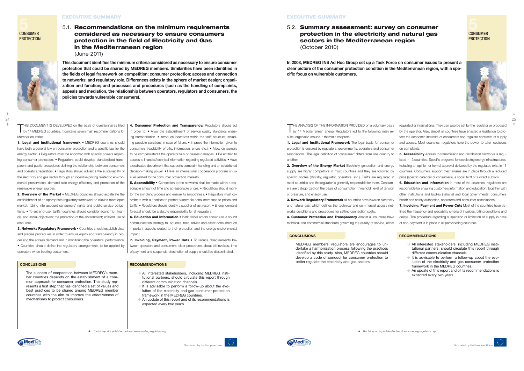1. Legal and institutional framework • MEDREG countries should have both a general law on consumer protection and a specific law for the energy sector. • Regulators must be endowed with specific powers regarding consumer protection. • Regulators could develop standardized transparent and public procedures defining the relationship between consumers and operators/regulators. • Regulators should advance the sustainability of the electricity and gas sector through an incentive pricing related to environmental preservation, demand side energy efficiency and promotion of the renewable energy sources.

3. Networks Regulatory Framework • Countries should establish clear and precise procedures in order to ensure equity and transparency in processing the access demand and in monitoring the operators' performance. • Countries should define the regulatory arrangements to be applied by operators when treating costumers.

THIS DOCUMENT IS DEVELOPED on the basis of questionnaires filled by 14 MEDREG countries. It contains seven main recommendations for Member countries: 4. Consumer Protection and Transparency: Regulators should act in order to: • Allow the establishment of service quality standards ensur-

2. Overview of the Market • MEDREG countries should accelerate the establishment of an appropriate regulatory framework to allow a more open market, taking into account consumers' rights and public service obligations. • To set end-user tariffs, countries should consider economic, financial and social objectives; the protection of the environment; efficient use of resources.

**5. Accessibility •** Connection to the networks shall be made within a reasonable amount of time and at reasonable prices. • Regulators should monitor the switching process and ensure its smoothness. • Regulators must coordinate with authorities to protect vulnerable consumers face to prices and tariffs. • Regulators should identify a supplier of last resort. • Energy demand

**6. Education and Information •** Institutional actors should use a sound communication strategy to educate, train, advise and assist consumers on important aspects related to their protection and the energy environmental

7. Invoicing, Payment, Power Cuts • To reduce disagreements between operators and consumers, clear procedures about bill invoices, time of payment and suspension/restriction of supply should be disseminated.

ing harmonization. • Introduce incentives within the tariff structure, including possible sanctions in case of failure. • Improve the information given to consumers (readability of bills, information, prices etc.). • Allow consumers to be compensated if the operator fails or causes damages. • Be entitled to access to financial/technical information regarding regulated activities. • Have a dedicated department that supports complaint handling and an established decision-making power. • Have an international cooperation program on is-

 $\rightarrow$  All interested stakeholders, including MEDREG institutional partners, should circulate this report through different communication channels.

- $\rightarrow$  It is advisable to perform a follow-up about the evolution of the electricity and gas consumer protection framework in the MEDREG countries.
- $\rightarrow$  An update of this report and of its recommendations is expected every two years.

### **EXECUTIVE SUMMARY**

sues related to the consumer protection interests.

forecast should be a statute responsibility for all regulators.

THE ANALYSIS OF THE INFORMATION PROVIDED on a voluntary basis<br>by 14 Mediterranean Energy Regulators led to the following main results, organised around 7 thematic chapters:

1. Legal and Institutional Framework The legal basis for consumer protection is ensured by regulators, governments, operators and consumer associations. The legal definition of "consumer" differs from one country to another

impact.

2. Overview of the Energy Market Electricity generation and energy supply are highly competitive in most countries and they are followed by specific bodies (Ministry, regulator, operators, etc.). Tariffs are regulated in most countries and the regulator is generally responsible for them. Consumers are categorized on the basis of consumption threshold, level of tension or pressure, and energy use.

3. Network Regulatory Framework All countries have laws on electricity

**5** CONSUMER

**PROTECTION** 

### **EXECUTIVE SUMMARY**

**5** CONSUMER

**PROTECTION** 



**Supported by the European Unio** 



### **CONCLUSIONS RECOMMENDATIONS**

The success of cooperation between MEDREG's member countries depends on the establishment of a common approach for consumer protection. This study represents a first step that has identified a set of values and best practices to be shared among MEDREG member countries with the aim to improve the effectiveness of mechanisms to protect consumers.

**5. Accessibility** Access to transmission and distribution networks is regulated in 13 countries. Specific programs for developing energy infrastructures, including an opinion or formal approval delivered by the regulator, exist in 13 countries. Consumers support mechanisms are in place through a reduced price (specific category of consumers), a social tariff or a direct subsidy.

6. Education and Information In most of the countries, regulators are responsible for ensuring customers information and education, together with other institutions and bodies (national and local governments, consumers health and safety authorities, operators and consumer associations).

### **CONCLUSIONS RECOMMENDATIONS**

¢ *The full report is published online at www.medreg-regulators.org*



# 5.1. Recommendations on the minimum requirements considered as necessary to ensure consumers protection in the field of Electricity and Gas in the Mediterranean region (June 2011)

- $\rightarrow$  All interested stakeholders, including MEDREG institutional partners, should circulate this report through different communication channels.
- $\rightarrow$  It is advisable to perform a follow-up about the evolution of the electricity and gas consumer protection framework in the MEDREG countries.
- $\rightarrow$  An update of this report and of its recommendations is expected every two years.



**This document identifies the minimum criteria considered as necessary to ensure consumer protection that could be shared by MEDREG members. Similarities have been identified in the fields of legal framework on competition; consumer protection; access and connection to networks; and regulatory role. Differences exists in the sphere of market design; organization and function; and processes and procedures (such as the handling of complaints, appeals and mediation, the relationship between operators, regulators and consumers, the policies towards vulnerable consumers).**

 $\ddag$ ↑ 5.2. Summary assessment: survey on consumer protection in the electricity and natural gas sectors in the Mediterranean region (October 2010)

**In 2008, MEDREG INS Ad Hoc Group set up a Task Force on consumer issues to present a clear picture of the consumer protection condition in the Mediterranean region, with a specific focus on vulnerable customers.**

> regulated or international. They can also be set by the regulator or proposed by the operator. Also, almost all countries have enacted a legislation to protect the economic interests of consumers and regulate contracts of supply and access. Most countries' regulators have the power to take decisions on complaints.

and natural gas, which defines the technical and commercial access networks conditions and procedures for setting connection costs. 4. Customer Protection and Transparency Almost all countries have technical and commercial standards governing the quality of service, either 7. Invoicing, Payment and Power Cuts Most of the countries have defined the frequency and readability criteria of invoices, billing conditions and delays. The procedure regarding suspension or limitation of supply in case of non-payment is in place in all participating countries.



MEDREG members' regulators are encourages to undertake a harmonization process following the practices identified by this study. Also, MEDREG countries should develop a code of conduct for consumer protection to better regulate the electricity and gas sectors.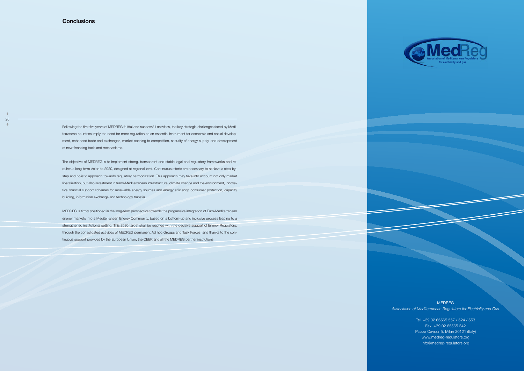*Association of Mediterranean Regulators for Electricity and Gas*

 $\overline{\phantom{a}}$ 

Tel: +39 02 65565 557 / 524 / 553 Fax: +39 02 65565 342 Piazza Cavour 5, Milan 20121 (Italy) www.medreg-regulators.org info@medreg-regulators.org



### **MEDREG**

Following the first five years of MEDREG fruitful and successful activities, the key strategic challenges faced by Mediterranean countries imply the need for more regulation as an essential instrument for economic and social development, enhanced trade and exchanges, market opening to competition, security of energy supply, and development of new financing tools and mechanisms.

The objective of MEDREG is to implement strong, transparent and stable legal and regulatory frameworks and requires a long-term vision to 2020, designed at regional level. Continuous efforts are necessary to achieve a step-bystep and holistic approach towards regulatory harmonization. This approach may take into account not only market liberalization, but also investment in trans-Mediterranean infrastructure, climate change and the environment, innovative financial support schemes for renewable energy sources and energy efficiency, consumer protection, capacity building, information exchange and technology transfer.

MEDREG is firmly positioned in the long-term perspective towards the progressive integration of Euro-Mediterranean energy markets into a Mediterranean Energy Community, based on a bottom-up and inclusive process leading to a strengthened institutional setting. This 2020 target shall be reached with the decisive support of Energy Regulators, through the consolidated activities of MEDREG permanent Ad hoc Groups and Task Forces, and thanks to the continuous support provided by the European Union, the CEER and all the MEDREG partner institutions.